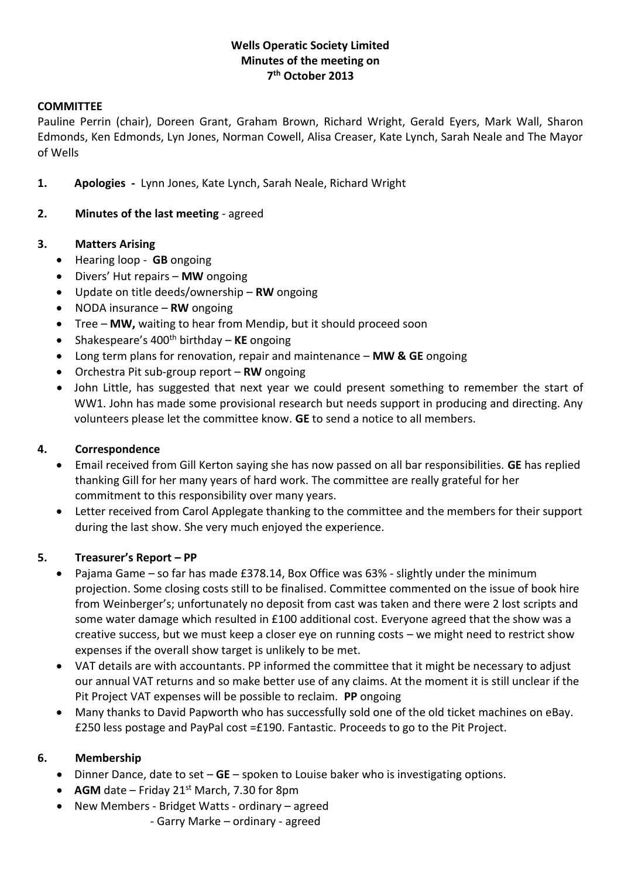# **Wells Operatic Society Limited Minutes of the meeting on 7 th October 2013**

#### **COMMITTEE**

Pauline Perrin (chair), Doreen Grant, Graham Brown, Richard Wright, Gerald Eyers, Mark Wall, Sharon Edmonds, Ken Edmonds, Lyn Jones, Norman Cowell, Alisa Creaser, Kate Lynch, Sarah Neale and The Mayor of Wells

- **1. Apologies** Lynn Jones, Kate Lynch, Sarah Neale, Richard Wright
- **2. Minutes of the last meeting** agreed

#### **3. Matters Arising**

- Hearing loop **GB** ongoing
- Divers' Hut repairs **MW** ongoing
- Update on title deeds/ownership **RW** ongoing
- NODA insurance **RW** ongoing
- Tree **MW,** waiting to hear from Mendip, but it should proceed soon
- Shakespeare's 400th birthday **KE** ongoing
- Long term plans for renovation, repair and maintenance **MW & GE** ongoing
- Orchestra Pit sub-group report **RW** ongoing
- John Little, has suggested that next year we could present something to remember the start of WW1. John has made some provisional research but needs support in producing and directing. Any volunteers please let the committee know. **GE** to send a notice to all members.

### **4. Correspondence**

- Email received from Gill Kerton saying she has now passed on all bar responsibilities. **GE** has replied thanking Gill for her many years of hard work. The committee are really grateful for her commitment to this responsibility over many years.
- Letter received from Carol Applegate thanking to the committee and the members for their support during the last show. She very much enjoyed the experience.

### **5. Treasurer's Report – PP**

- Pajama Game so far has made £378.14, Box Office was 63% slightly under the minimum projection. Some closing costs still to be finalised. Committee commented on the issue of book hire from Weinberger's; unfortunately no deposit from cast was taken and there were 2 lost scripts and some water damage which resulted in £100 additional cost. Everyone agreed that the show was a creative success, but we must keep a closer eye on running costs – we might need to restrict show expenses if the overall show target is unlikely to be met.
- VAT details are with accountants. PP informed the committee that it might be necessary to adjust our annual VAT returns and so make better use of any claims. At the moment it is still unclear if the Pit Project VAT expenses will be possible to reclaim. **PP** ongoing
- Many thanks to David Papworth who has successfully sold one of the old ticket machines on eBay. £250 less postage and PayPal cost  $=£190$ . Fantastic. Proceeds to go to the Pit Project.

### **6. Membership**

- Dinner Dance, date to set **GE** spoken to Louise baker who is investigating options.
- AGM date Friday  $21^{st}$  March, 7.30 for 8pm
- New Members Bridget Watts ordinary agreed
	- Garry Marke ordinary agreed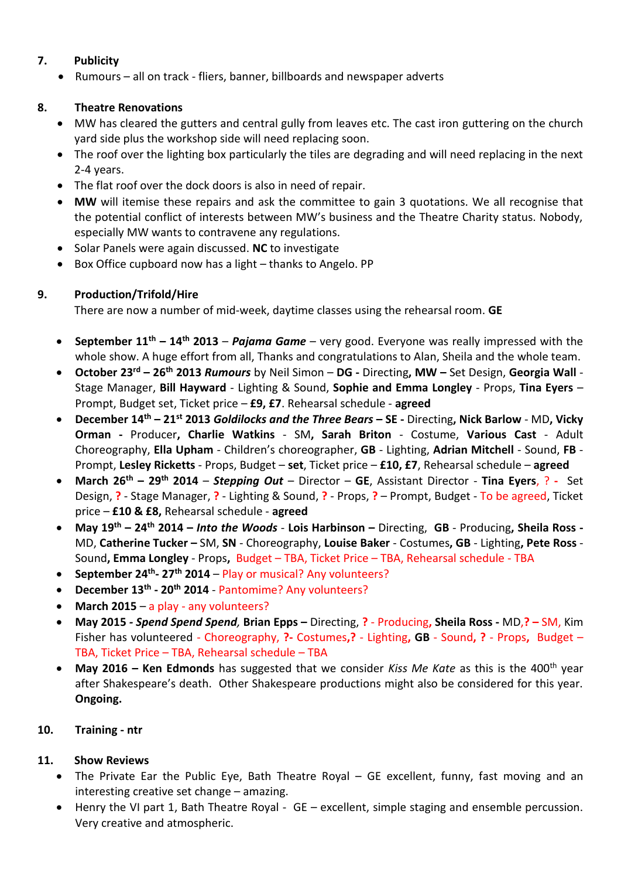# **7. Publicity**

Rumours – all on track - fliers, banner, billboards and newspaper adverts

# **8. Theatre Renovations**

- MW has cleared the gutters and central gully from leaves etc. The cast iron guttering on the church yard side plus the workshop side will need replacing soon.
- The roof over the lighting box particularly the tiles are degrading and will need replacing in the next 2-4 years.
- The flat roof over the dock doors is also in need of repair.
- **MW** will itemise these repairs and ask the committee to gain 3 quotations. We all recognise that the potential conflict of interests between MW's business and the Theatre Charity status. Nobody, especially MW wants to contravene any regulations.
- Solar Panels were again discussed. **NC** to investigate
- Box Office cupboard now has a light thanks to Angelo. PP

## **9. Production/Trifold/Hire**

There are now a number of mid-week, daytime classes using the rehearsal room. **GE**

- **September 11th – 14th 2013**  *Pajama Game* very good. Everyone was really impressed with the whole show. A huge effort from all, Thanks and congratulations to Alan, Sheila and the whole team.
- **October 23rd – 26th 2013** *Rumours* by Neil Simon **DG -** Directing**, MW –** Set Design, **Georgia Wall** Stage Manager, **Bill Hayward** - Lighting & Sound, **Sophie and Emma Longley** - Props, **Tina Eyers** – Prompt, Budget set, Ticket price – **£9, £7**. Rehearsal schedule - **agreed**
- **December 14th – 21st 2013** *Goldilocks and the Three Bears* **– SE -** Directing**, Nick Barlow** MD**, Vicky Orman -** Producer**, Charlie Watkins** - SM**, Sarah Briton** - Costume, **Various Cast** - Adult Choreography, **Ella Upham** - Children's choreographer, **GB** - Lighting, **Adrian Mitchell** - Sound, **FB** - Prompt, **Lesley Ricketts** - Props, Budget – **set**, Ticket price – **£10, £7**, Rehearsal schedule – **agreed**
- **March 26th – 29th 2014** *Stepping Out* Director **GE**, Assistant Director **Tina Eyers**, ? **-** Set Design, **?** - Stage Manager, **?** - Lighting & Sound, **?** - Props, **?** – Prompt, Budget - To be agreed, Ticket price – **£10 & £8,** Rehearsal schedule - **agreed**
- **May 19th – 24th 2014 –** *Into the Woods* **Lois Harbinson –** Directing, **GB** Producing**, Sheila Ross -** MD, **Catherine Tucker –** SM, **SN** - Choreography, **Louise Baker** - Costumes**, GB** - Lighting**, Pete Ross** - Sound**, Emma Longley** - Props**,** Budget – TBA, Ticket Price – TBA, Rehearsal schedule - TBA
- **September 24th - 27th 2014** Play or musical? Any volunteers?
- **December 13th - 20th 2014** Pantomime? Any volunteers?
- **March 2015** a play any volunteers?
- **May 2015** *- Spend Spend Spend,* **Brian Epps –** Directing, **?** Producing**, Sheila Ross -** MD,**? –** SM, Kim Fisher has volunteered - Choreography, **?-** Costumes**,?** - Lighting**, GB** - Sound**, ?** - Props**,** Budget – TBA, Ticket Price – TBA, Rehearsal schedule – TBA
- **May 2016 – Ken Edmonds** has suggested that we consider *Kiss Me Kate* as this is the 400th year after Shakespeare's death. Other Shakespeare productions might also be considered for this year. **Ongoing.**

### **10. Training - ntr**

### **11. Show Reviews**

- The Private Ear the Public Eye, Bath Theatre Royal GE excellent, funny, fast moving and an interesting creative set change – amazing.
- Henry the VI part 1, Bath Theatre Royal GE excellent, simple staging and ensemble percussion. Very creative and atmospheric.